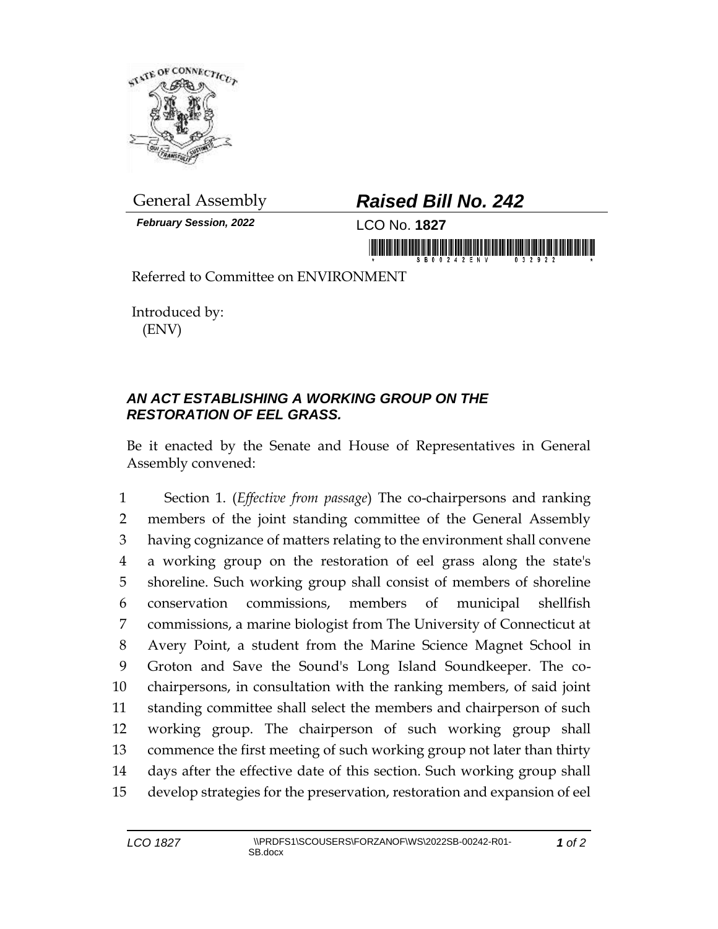

*February Session, 2022* LCO No. **1827**

## General Assembly *Raised Bill No. 242*

<u>iimmunisteisiininkinammisteisin muuni</u>

Referred to Committee on ENVIRONMENT

Introduced by: (ENV)

## *AN ACT ESTABLISHING A WORKING GROUP ON THE RESTORATION OF EEL GRASS.*

Be it enacted by the Senate and House of Representatives in General Assembly convened:

 Section 1. (*Effective from passage*) The co-chairpersons and ranking members of the joint standing committee of the General Assembly having cognizance of matters relating to the environment shall convene a working group on the restoration of eel grass along the state's shoreline. Such working group shall consist of members of shoreline conservation commissions, members of municipal shellfish commissions, a marine biologist from The University of Connecticut at Avery Point, a student from the Marine Science Magnet School in Groton and Save the Sound's Long Island Soundkeeper. The co- chairpersons, in consultation with the ranking members, of said joint standing committee shall select the members and chairperson of such working group. The chairperson of such working group shall commence the first meeting of such working group not later than thirty days after the effective date of this section. Such working group shall develop strategies for the preservation, restoration and expansion of eel